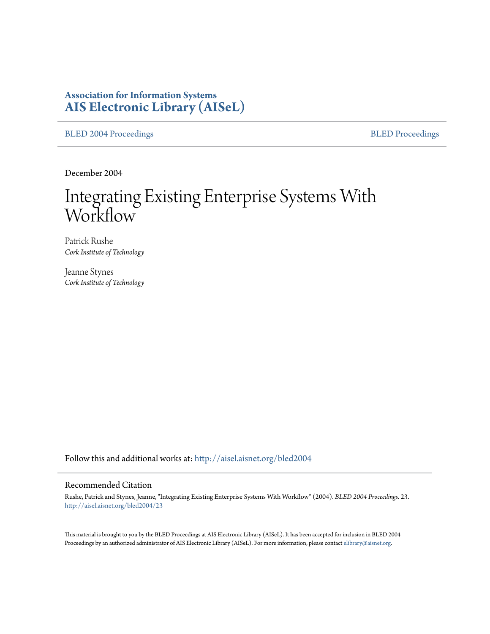## **Association for Information Systems [AIS Electronic Library \(AISeL\)](http://aisel.aisnet.org?utm_source=aisel.aisnet.org%2Fbled2004%2F23&utm_medium=PDF&utm_campaign=PDFCoverPages)**

[BLED 2004 Proceedings](http://aisel.aisnet.org/bled2004?utm_source=aisel.aisnet.org%2Fbled2004%2F23&utm_medium=PDF&utm_campaign=PDFCoverPages) **[BLED Proceedings](http://aisel.aisnet.org/bled?utm_source=aisel.aisnet.org%2Fbled2004%2F23&utm_medium=PDF&utm_campaign=PDFCoverPages)** 

December 2004

# Integrating Existing Enterprise Systems With Workflow

Patrick Rushe *Cork Institute of Technology*

Jeanne Stynes *Cork Institute of Technology*

Follow this and additional works at: [http://aisel.aisnet.org/bled2004](http://aisel.aisnet.org/bled2004?utm_source=aisel.aisnet.org%2Fbled2004%2F23&utm_medium=PDF&utm_campaign=PDFCoverPages)

#### Recommended Citation

Rushe, Patrick and Stynes, Jeanne, "Integrating Existing Enterprise Systems With Workflow" (2004). *BLED 2004 Proceedings*. 23. [http://aisel.aisnet.org/bled2004/23](http://aisel.aisnet.org/bled2004/23?utm_source=aisel.aisnet.org%2Fbled2004%2F23&utm_medium=PDF&utm_campaign=PDFCoverPages)

This material is brought to you by the BLED Proceedings at AIS Electronic Library (AISeL). It has been accepted for inclusion in BLED 2004 Proceedings by an authorized administrator of AIS Electronic Library (AISeL). For more information, please contact [elibrary@aisnet.org](mailto:elibrary@aisnet.org%3E).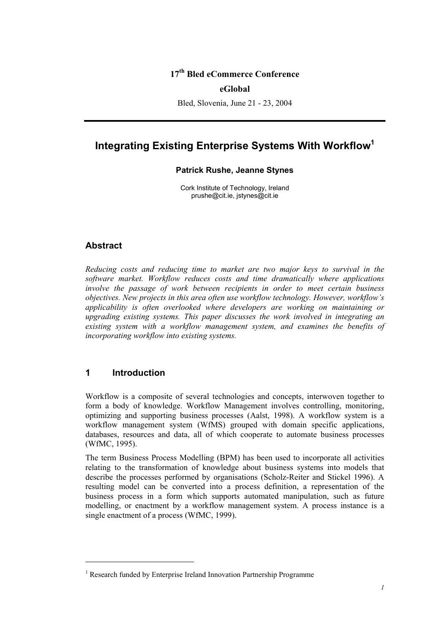## **17th Bled eCommerce Conference**

#### **eGlobal**

Bled, Slovenia, June 21 - 23, 2004

# **Integrating Existing Enterprise Systems With Workflow<sup>1</sup>**

#### **Patrick Rushe, Jeanne Stynes**

Cork Institute of Technology, Ireland prushe@cit.ie, jstynes@cit.ie

## **Abstract**

*Reducing costs and reducing time to market are two major keys to survival in the software market. Workflow reduces costs and time dramatically where applications involve the passage of work between recipients in order to meet certain business objectives. New projects in this area often use workflow technology. However, workflow's applicability is often overlooked where developers are working on maintaining or upgrading existing systems. This paper discusses the work involved in integrating an existing system with a workflow management system, and examines the benefits of incorporating workflow into existing systems.* 

## **1 Introduction**

l

Workflow is a composite of several technologies and concepts, interwoven together to form a body of knowledge. Workflow Management involves controlling, monitoring, optimizing and supporting business processes (Aalst, 1998). A workflow system is a workflow management system (WfMS) grouped with domain specific applications, databases, resources and data, all of which cooperate to automate business processes (WfMC, 1995).

The term Business Process Modelling (BPM) has been used to incorporate all activities relating to the transformation of knowledge about business systems into models that describe the processes performed by organisations (Scholz-Reiter and Stickel 1996). A resulting model can be converted into a process definition, a representation of the business process in a form which supports automated manipulation, such as future modelling, or enactment by a workflow management system. A process instance is a single enactment of a process (WfMC, 1999).

<sup>&</sup>lt;sup>1</sup> Research funded by Enterprise Ireland Innovation Partnership Programme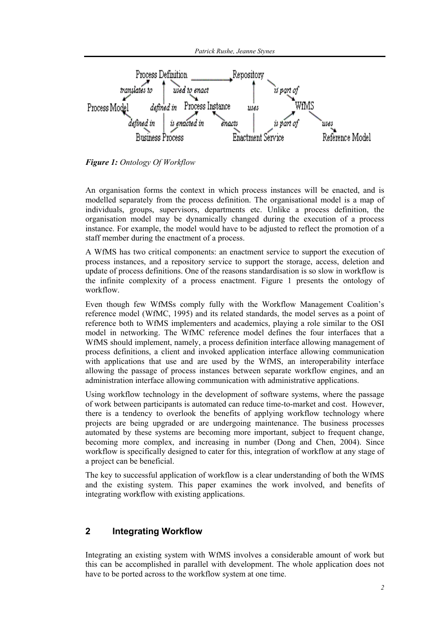*Patrick Rushe, Jeanne Stynes* 



*Figure 1: Ontology Of Workflow* 

An organisation forms the context in which process instances will be enacted, and is modelled separately from the process definition. The organisational model is a map of individuals, groups, supervisors, departments etc. Unlike a process definition, the organisation model may be dynamically changed during the execution of a process instance. For example, the model would have to be adjusted to reflect the promotion of a staff member during the enactment of a process.

A WfMS has two critical components: an enactment service to support the execution of process instances, and a repository service to support the storage, access, deletion and update of process definitions. One of the reasons standardisation is so slow in workflow is the infinite complexity of a process enactment. Figure 1 presents the ontology of workflow.

Even though few WfMSs comply fully with the Workflow Management Coalition's reference model (WfMC, 1995) and its related standards, the model serves as a point of reference both to WfMS implementers and academics, playing a role similar to the OSI model in networking. The WfMC reference model defines the four interfaces that a WfMS should implement, namely, a process definition interface allowing management of process definitions, a client and invoked application interface allowing communication with applications that use and are used by the WfMS, an interoperability interface allowing the passage of process instances between separate workflow engines, and an administration interface allowing communication with administrative applications.

Using workflow technology in the development of software systems, where the passage of work between participants is automated can reduce time-to-market and cost. However, there is a tendency to overlook the benefits of applying workflow technology where projects are being upgraded or are undergoing maintenance. The business processes automated by these systems are becoming more important, subject to frequent change, becoming more complex, and increasing in number (Dong and Chen, 2004). Since workflow is specifically designed to cater for this, integration of workflow at any stage of a project can be beneficial.

The key to successful application of workflow is a clear understanding of both the WfMS and the existing system. This paper examines the work involved, and benefits of integrating workflow with existing applications.

## **2 Integrating Workflow**

Integrating an existing system with WfMS involves a considerable amount of work but this can be accomplished in parallel with development. The whole application does not have to be ported across to the workflow system at one time.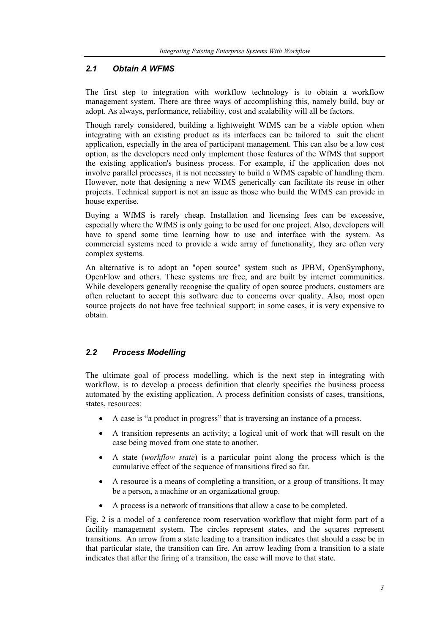## *2.1 Obtain A WFMS*

The first step to integration with workflow technology is to obtain a workflow management system. There are three ways of accomplishing this, namely build, buy or adopt. As always, performance, reliability, cost and scalability will all be factors.

Though rarely considered, building a lightweight WfMS can be a viable option when integrating with an existing product as its interfaces can be tailored to suit the client application, especially in the area of participant management. This can also be a low cost option, as the developers need only implement those features of the WfMS that support the existing application's business process. For example, if the application does not involve parallel processes, it is not necessary to build a WfMS capable of handling them. However, note that designing a new WfMS generically can facilitate its reuse in other projects. Technical support is not an issue as those who build the WfMS can provide in house expertise.

Buying a WfMS is rarely cheap. Installation and licensing fees can be excessive, especially where the WfMS is only going to be used for one project. Also, developers will have to spend some time learning how to use and interface with the system. As commercial systems need to provide a wide array of functionality, they are often very complex systems.

An alternative is to adopt an "open source" system such as JPBM, OpenSymphony, OpenFlow and others. These systems are free, and are built by internet communities. While developers generally recognise the quality of open source products, customers are often reluctant to accept this software due to concerns over quality. Also, most open source projects do not have free technical support; in some cases, it is very expensive to obtain.

## *2.2 Process Modelling*

The ultimate goal of process modelling, which is the next step in integrating with workflow, is to develop a process definition that clearly specifies the business process automated by the existing application. A process definition consists of cases, transitions, states, resources:

- A case is "a product in progress" that is traversing an instance of a process.
- A transition represents an activity; a logical unit of work that will result on the case being moved from one state to another.
- A state (*workflow state*) is a particular point along the process which is the cumulative effect of the sequence of transitions fired so far.
- A resource is a means of completing a transition, or a group of transitions. It may be a person, a machine or an organizational group.
- A process is a network of transitions that allow a case to be completed.

Fig. 2 is a model of a conference room reservation workflow that might form part of a facility management system. The circles represent states, and the squares represent transitions. An arrow from a state leading to a transition indicates that should a case be in that particular state, the transition can fire. An arrow leading from a transition to a state indicates that after the firing of a transition, the case will move to that state.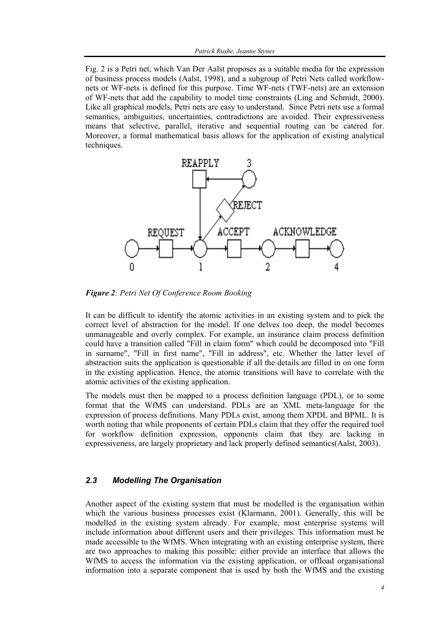Fig. 2 is a Petri net, which Van Der Aalst proposes as a suitable media for the expression of business process models (Aalst, 1998), and a subgroup of Petri Nets called workflownets or WF-nets is defined for this purpose. Time WF-nets (TWF-nets) are an extension of WF-nets that add the capability to model time constraints (Ling and Schmidt, 2000). Like all graphical models, Petri nets are easy to understand. Since Petri nets use a formal semantics, ambiguities, uncertainties, contradictions are avoided. Their expressiveness means that selective, parallel, iterative and sequential routing can be catered for. Moreover, a formal mathematical basis allows for the application of existing analytical techniques.



*Figure 2: Petri Net Of Conference Room Booking* 

It can be difficult to identify the atomic activities in an existing system and to pick the correct level of abstraction for the model. If one delves too deep, the model becomes unmanageable and overly complex. For example, an insurance claim process definition could have a transition called "Fill in claim form" which could be decomposed into "Fill in surname", "Fill in first name", "Fill in address", etc. Whether the latter level of abstraction suits the application is questionable if all the details are filled in on one form in the existing application. Hence, the atomic transitions will have to correlate with the atomic activities of the existing application.

The models must then be mapped to a process definition language (PDL), or to some format that the WfMS can understand. PDLs are an XML meta-language for the expression of process definitions. Many PDLs exist, among them XPDL and BPML. It is worth noting that while proponents of certain PDLs claim that they offer the required tool for workflow definition expression, opponents claim that they are lacking in expressiveness, are largely proprietary and lack properly defined semantics(Aalst, 2003).

#### *2.3 Modelling The Organisation*

Another aspect of the existing system that must be modelled is the organisation within which the various business processes exist (Klarmann, 2001). Generally, this will be modelled in the existing system already. For example, most enterprise systems will include information about different users and their privileges. This information must be made accessible to the WfMS. When integrating with an existing enterprise system, there are two approaches to making this possible: either provide an interface that allows the WfMS to access the information via the existing application, or offload organisational information into a separate component that is used by both the WfMS and the existing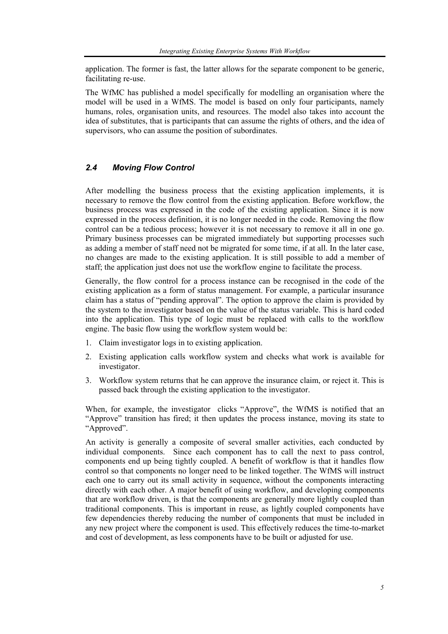application. The former is fast, the latter allows for the separate component to be generic, facilitating re-use.

The WfMC has published a model specifically for modelling an organisation where the model will be used in a WfMS. The model is based on only four participants, namely humans, roles, organisation units, and resources. The model also takes into account the idea of substitutes, that is participants that can assume the rights of others, and the idea of supervisors, who can assume the position of subordinates.

## *2.4 Moving Flow Control*

After modelling the business process that the existing application implements, it is necessary to remove the flow control from the existing application. Before workflow, the business process was expressed in the code of the existing application. Since it is now expressed in the process definition, it is no longer needed in the code. Removing the flow control can be a tedious process; however it is not necessary to remove it all in one go. Primary business processes can be migrated immediately but supporting processes such as adding a member of staff need not be migrated for some time, if at all. In the later case, no changes are made to the existing application. It is still possible to add a member of staff; the application just does not use the workflow engine to facilitate the process.

Generally, the flow control for a process instance can be recognised in the code of the existing application as a form of status management. For example, a particular insurance claim has a status of "pending approval". The option to approve the claim is provided by the system to the investigator based on the value of the status variable. This is hard coded into the application. This type of logic must be replaced with calls to the workflow engine. The basic flow using the workflow system would be:

- 1. Claim investigator logs in to existing application.
- 2. Existing application calls workflow system and checks what work is available for investigator.
- 3. Workflow system returns that he can approve the insurance claim, or reject it. This is passed back through the existing application to the investigator.

When, for example, the investigator clicks "Approve", the WfMS is notified that an "Approve" transition has fired; it then updates the process instance, moving its state to "Approved".

An activity is generally a composite of several smaller activities, each conducted by individual components. Since each component has to call the next to pass control, components end up being tightly coupled. A benefit of workflow is that it handles flow control so that components no longer need to be linked together. The WfMS will instruct each one to carry out its small activity in sequence, without the components interacting directly with each other. A major benefit of using workflow, and developing components that are workflow driven, is that the components are generally more lightly coupled than traditional components. This is important in reuse, as lightly coupled components have few dependencies thereby reducing the number of components that must be included in any new project where the component is used. This effectively reduces the time-to-market and cost of development, as less components have to be built or adjusted for use.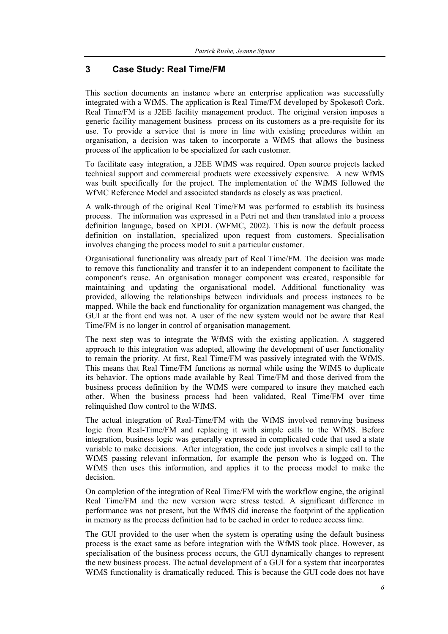## **3 Case Study: Real Time/FM**

This section documents an instance where an enterprise application was successfully integrated with a WfMS. The application is Real Time/FM developed by Spokesoft Cork. Real Time/FM is a J2EE facility management product. The original version imposes a generic facility management business process on its customers as a pre-requisite for its use. To provide a service that is more in line with existing procedures within an organisation, a decision was taken to incorporate a WfMS that allows the business process of the application to be specialized for each customer.

To facilitate easy integration, a J2EE WfMS was required. Open source projects lacked technical support and commercial products were excessively expensive. A new WfMS was built specifically for the project. The implementation of the WfMS followed the WfMC Reference Model and associated standards as closely as was practical.

A walk-through of the original Real Time/FM was performed to establish its business process. The information was expressed in a Petri net and then translated into a process definition language, based on XPDL (WFMC, 2002). This is now the default process definition on installation, specialized upon request from customers. Specialisation involves changing the process model to suit a particular customer.

Organisational functionality was already part of Real Time/FM. The decision was made to remove this functionality and transfer it to an independent component to facilitate the component's reuse. An organisation manager component was created, responsible for maintaining and updating the organisational model. Additional functionality was provided, allowing the relationships between individuals and process instances to be mapped. While the back end functionality for organization management was changed, the GUI at the front end was not. A user of the new system would not be aware that Real Time/FM is no longer in control of organisation management.

The next step was to integrate the WfMS with the existing application. A staggered approach to this integration was adopted, allowing the development of user functionality to remain the priority. At first, Real Time/FM was passively integrated with the WfMS. This means that Real Time/FM functions as normal while using the WfMS to duplicate its behavior. The options made available by Real Time/FM and those derived from the business process definition by the WfMS were compared to insure they matched each other. When the business process had been validated, Real Time/FM over time relinquished flow control to the WfMS.

The actual integration of Real-Time/FM with the WfMS involved removing business logic from Real-Time/FM and replacing it with simple calls to the WfMS. Before integration, business logic was generally expressed in complicated code that used a state variable to make decisions. After integration, the code just involves a simple call to the WfMS passing relevant information, for example the person who is logged on. The WfMS then uses this information, and applies it to the process model to make the decision.

On completion of the integration of Real Time/FM with the workflow engine, the original Real Time/FM and the new version were stress tested. A significant difference in performance was not present, but the WfMS did increase the footprint of the application in memory as the process definition had to be cached in order to reduce access time.

The GUI provided to the user when the system is operating using the default business process is the exact same as before integration with the WfMS took place. However, as specialisation of the business process occurs, the GUI dynamically changes to represent the new business process. The actual development of a GUI for a system that incorporates WfMS functionality is dramatically reduced. This is because the GUI code does not have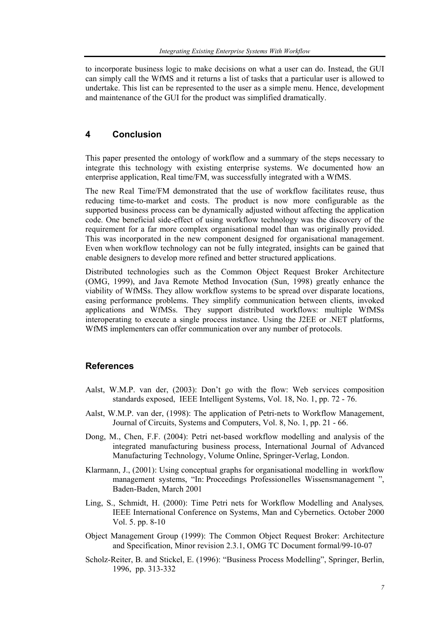to incorporate business logic to make decisions on what a user can do. Instead, the GUI can simply call the WfMS and it returns a list of tasks that a particular user is allowed to undertake. This list can be represented to the user as a simple menu. Hence, development and maintenance of the GUI for the product was simplified dramatically.

## **4 Conclusion**

This paper presented the ontology of workflow and a summary of the steps necessary to integrate this technology with existing enterprise systems. We documented how an enterprise application, Real time/FM, was successfully integrated with a WfMS.

The new Real Time/FM demonstrated that the use of workflow facilitates reuse, thus reducing time-to-market and costs. The product is now more configurable as the supported business process can be dynamically adjusted without affecting the application code. One beneficial side-effect of using workflow technology was the discovery of the requirement for a far more complex organisational model than was originally provided. This was incorporated in the new component designed for organisational management. Even when workflow technology can not be fully integrated, insights can be gained that enable designers to develop more refined and better structured applications.

Distributed technologies such as the Common Object Request Broker Architecture (OMG, 1999), and Java Remote Method Invocation (Sun, 1998) greatly enhance the viability of WfMSs. They allow workflow systems to be spread over disparate locations, easing performance problems. They simplify communication between clients, invoked applications and WfMSs. They support distributed workflows: multiple WfMSs interoperating to execute a single process instance. Using the J2EE or .NET platforms, WfMS implementers can offer communication over any number of protocols.

## **References**

- Aalst, W.M.P. van der, (2003): Don't go with the flow: Web services composition standards exposed, IEEE Intelligent Systems, Vol. 18, No. 1, pp. 72 - 76.
- Aalst, W.M.P. van der, (1998): The application of Petri-nets to Workflow Management, Journal of Circuits, Systems and Computers, Vol. 8, No. 1, pp. 21 - 66.
- Dong, M., Chen, F.F. (2004): Petri net-based workflow modelling and analysis of the integrated manufacturing business process, International Journal of Advanced Manufacturing Technology, Volume Online, Springer-Verlag, London.
- Klarmann, J., (2001): Using conceptual graphs for organisational modelling in workflow management systems, "In: Proceedings Professionelles Wissensmanagement ", Baden-Baden, March 2001
- Ling, S., Schmidt, H. (2000): Time Petri nets for Workflow Modelling and Analyses*,*  IEEE International Conference on Systems, Man and Cybernetics. October 2000 Vol. 5. pp. 8-10
- Object Management Group (1999): The Common Object Request Broker: Architecture and Specification, Minor revision 2.3.1, OMG TC Document formal/99-10-07
- Scholz-Reiter, B. and Stickel, E. (1996): "Business Process Modelling", Springer, Berlin, 1996, pp. 313-332